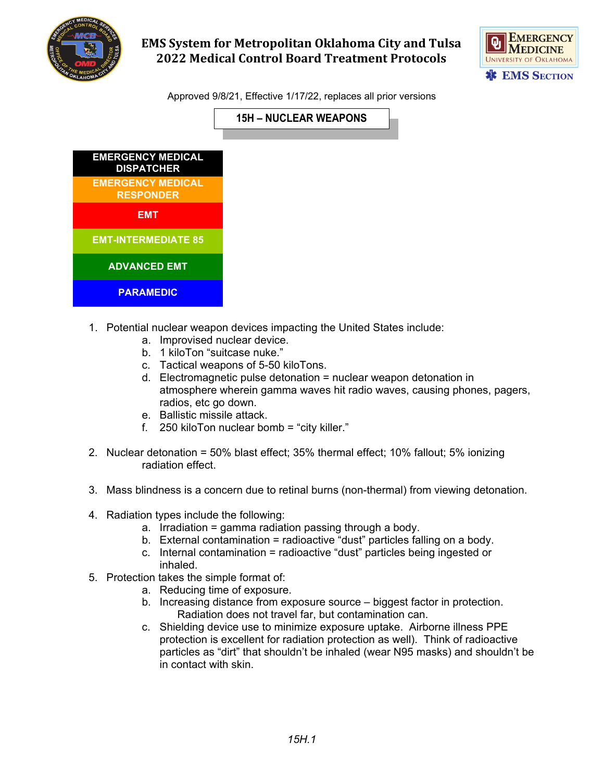

## **EMS System for Metropolitan Oklahoma City and Tulsa 2022 Medical Control Board Treatment Protocols**



Approved 9/8/21, Effective 1/17/22, replaces all prior versions



- 1. Potential nuclear weapon devices impacting the United States include:
	- a. Improvised nuclear device.
	- b. 1 kiloTon "suitcase nuke."
	- c. Tactical weapons of 5-50 kiloTons.
	- d. Electromagnetic pulse detonation = nuclear weapon detonation in atmosphere wherein gamma waves hit radio waves, causing phones, pagers, radios, etc go down.
	- e. Ballistic missile attack.
	- f. 250 kiloTon nuclear bomb = "city killer."
- 2. Nuclear detonation = 50% blast effect; 35% thermal effect; 10% fallout; 5% ionizing radiation effect.
- 3. Mass blindness is a concern due to retinal burns (non-thermal) from viewing detonation.
- 4. Radiation types include the following:
	- a. Irradiation = gamma radiation passing through a body.
	- b. External contamination = radioactive "dust" particles falling on a body.
	- c. Internal contamination = radioactive "dust" particles being ingested or inhaled.
- 5. Protection takes the simple format of:
	- a. Reducing time of exposure.
	- b. Increasing distance from exposure source biggest factor in protection. Radiation does not travel far, but contamination can.
	- c. Shielding device use to minimize exposure uptake. Airborne illness PPE protection is excellent for radiation protection as well). Think of radioactive particles as "dirt" that shouldn't be inhaled (wear N95 masks) and shouldn't be in contact with skin.